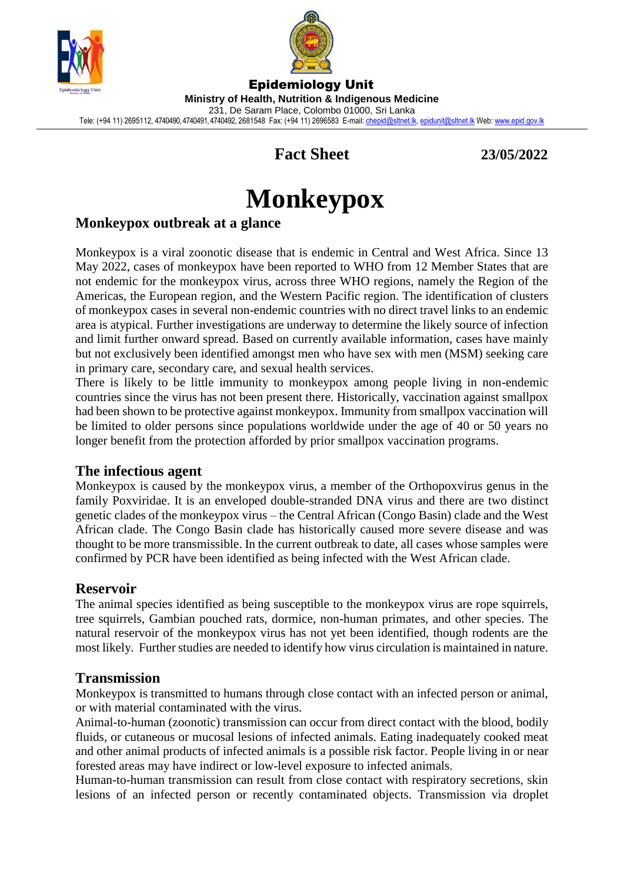



Epidemiology Unit **Ministry of Health, Nutrition & Indigenous Medicine** 231, De Saram Place, Colombo 01000, Sri Lanka Tele: (+94 11) 2695112, 4740490, 4740491, 4740492, 2681548 Fax: (+94 11) 2696583 E-mail[: chepid@sltnet.lk,](mailto:chepi@sltnet.lk) [epidunit@sltnet.lk](mailto:epidunit@sltnet.lk) Web[: www.epid.gov.lk](http://www.epid.gov.lk/)

## **Fact Sheet 23/05/2022**

# **Monkeypox**

## **Monkeypox outbreak at a glance**

Monkeypox is a viral zoonotic disease that is endemic in Central and West Africa. Since 13 May 2022, cases of monkeypox have been reported to WHO from 12 Member States that are not endemic for the monkeypox virus, across three WHO regions, namely the Region of the Americas, the European region, and the Western Pacific region. The identification of clusters of monkeypox cases in several non-endemic countries with no direct travel links to an endemic area is atypical. Further investigations are underway to determine the likely source of infection and limit further onward spread. Based on currently available information, cases have mainly but not exclusively been identified amongst men who have sex with men (MSM) seeking care in primary care, secondary care, and sexual health services.

There is likely to be little immunity to monkeypox among people living in non-endemic countries since the virus has not been present there. Historically, vaccination against smallpox had been shown to be protective against monkeypox. Immunity from smallpox vaccination will be limited to older persons since populations worldwide under the age of 40 or 50 years no longer benefit from the protection afforded by prior smallpox vaccination programs.

## **The infectious agent**

Monkeypox is caused by the monkeypox virus, a member of the Orthopoxvirus genus in the family Poxviridae. It is an enveloped double-stranded DNA virus and there are two distinct genetic clades of the monkeypox virus – the Central African (Congo Basin) clade and the West African clade. The Congo Basin clade has historically caused more severe disease and was thought to be more transmissible. In the current outbreak to date, all cases whose samples were confirmed by PCR have been identified as being infected with the West African clade.

## **Reservoir**

The animal species identified as being susceptible to the monkeypox virus are rope squirrels, tree squirrels, Gambian pouched rats, dormice, non-human primates, and other species. The natural reservoir of the monkeypox virus has not yet been identified, though rodents are the most likely. Further studies are needed to identify how virus circulation is maintained in nature.

## **Transmission**

Monkeypox is transmitted to humans through close contact with an infected person or animal, or with material contaminated with the virus.

Animal-to-human (zoonotic) transmission can occur from direct contact with the blood, bodily fluids, or cutaneous or mucosal lesions of infected animals. Eating inadequately cooked meat and other animal products of infected animals is a possible risk factor. People living in or near forested areas may have indirect or low-level exposure to infected animals.

Human-to-human transmission can result from close contact with respiratory secretions, skin lesions of an infected person or recently contaminated objects. Transmission via droplet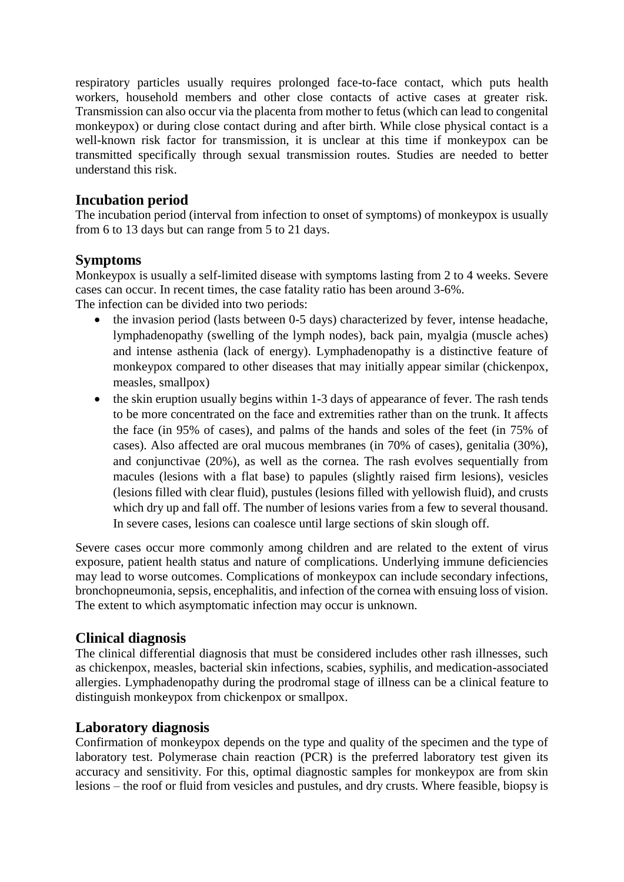respiratory particles usually requires prolonged face-to-face contact, which puts health workers, household members and other close contacts of active cases at greater risk. Transmission can also occur via the placenta from mother to fetus (which can lead to congenital monkeypox) or during close contact during and after birth. While close physical contact is a well-known risk factor for transmission, it is unclear at this time if monkeypox can be transmitted specifically through sexual transmission routes. Studies are needed to better understand this risk.

## **Incubation period**

The incubation period (interval from infection to onset of symptoms) of monkeypox is usually from 6 to 13 days but can range from 5 to 21 days.

## **Symptoms**

Monkeypox is usually a self-limited disease with symptoms lasting from 2 to 4 weeks. Severe cases can occur. In recent times, the case fatality ratio has been around 3-6%. The infection can be divided into two periods:

- the invasion period (lasts between 0-5 days) characterized by fever, intense headache, lymphadenopathy (swelling of the lymph nodes), back pain, myalgia (muscle aches) and intense asthenia (lack of energy). Lymphadenopathy is a distinctive feature of monkeypox compared to other diseases that may initially appear similar (chickenpox, measles, smallpox)
- the skin eruption usually begins within 1-3 days of appearance of fever. The rash tends to be more concentrated on the face and extremities rather than on the trunk. It affects the face (in 95% of cases), and palms of the hands and soles of the feet (in 75% of cases). Also affected are oral mucous membranes (in 70% of cases), genitalia (30%), and conjunctivae (20%), as well as the cornea. The rash evolves sequentially from macules (lesions with a flat base) to papules (slightly raised firm lesions), vesicles (lesions filled with clear fluid), pustules (lesions filled with yellowish fluid), and crusts which dry up and fall off. The number of lesions varies from a few to several thousand. In severe cases, lesions can coalesce until large sections of skin slough off.

Severe cases occur more commonly among children and are related to the extent of virus exposure, patient health status and nature of complications. Underlying immune deficiencies may lead to worse outcomes. Complications of monkeypox can include secondary infections, bronchopneumonia, sepsis, encephalitis, and infection of the cornea with ensuing loss of vision. The extent to which asymptomatic infection may occur is unknown.

## **Clinical diagnosis**

The clinical differential diagnosis that must be considered includes other rash illnesses, such as chickenpox, measles, bacterial skin infections, scabies, syphilis, and medication-associated allergies. Lymphadenopathy during the prodromal stage of illness can be a clinical feature to distinguish monkeypox from chickenpox or smallpox.

## **Laboratory diagnosis**

Confirmation of monkeypox depends on the type and quality of the specimen and the type of laboratory test. Polymerase chain reaction (PCR) is the preferred laboratory test given its accuracy and sensitivity. For this, optimal diagnostic samples for monkeypox are from skin lesions – the roof or fluid from vesicles and pustules, and dry crusts. Where feasible, biopsy is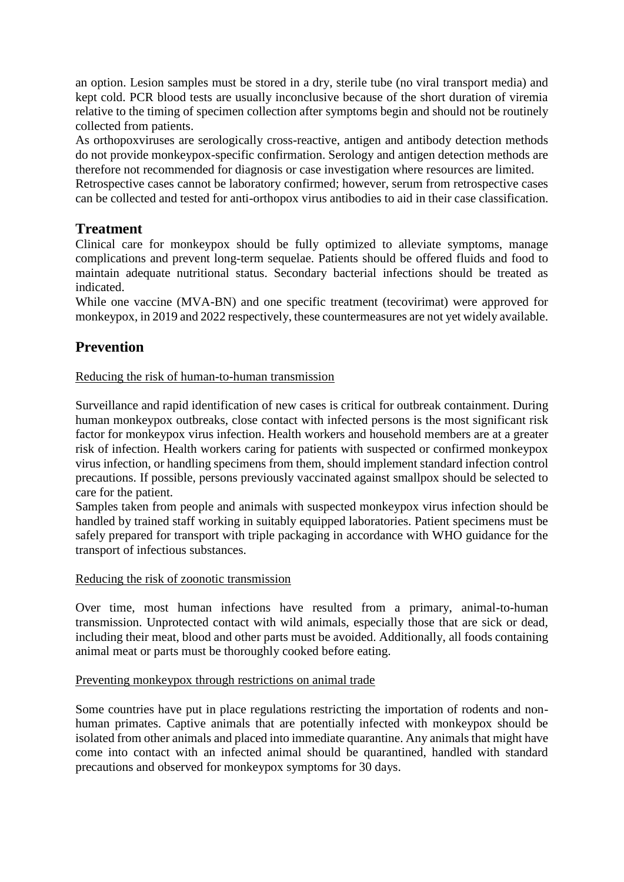an option. Lesion samples must be stored in a dry, sterile tube (no viral transport media) and kept cold. PCR blood tests are usually inconclusive because of the short duration of viremia relative to the timing of specimen collection after symptoms begin and should not be routinely collected from patients.

As orthopoxviruses are serologically cross-reactive, antigen and antibody detection methods do not provide monkeypox-specific confirmation. Serology and antigen detection methods are therefore not recommended for diagnosis or case investigation where resources are limited.

Retrospective cases cannot be laboratory confirmed; however, serum from retrospective cases can be collected and tested for anti-orthopox virus antibodies to aid in their case classification.

## **Treatment**

Clinical care for monkeypox should be fully optimized to alleviate symptoms, manage complications and prevent long-term sequelae. Patients should be offered fluids and food to maintain adequate nutritional status. Secondary bacterial infections should be treated as indicated.

While one vaccine (MVA-BN) and one specific treatment (tecovirimat) were approved for monkeypox, in 2019 and 2022 respectively, these countermeasures are not yet widely available.

## **Prevention**

#### Reducing the risk of human-to-human transmission

Surveillance and rapid identification of new cases is critical for outbreak containment. During human monkeypox outbreaks, close contact with infected persons is the most significant risk factor for monkeypox virus infection. Health workers and household members are at a greater risk of infection. Health workers caring for patients with suspected or confirmed monkeypox virus infection, or handling specimens from them, should implement standard infection control precautions. If possible, persons previously vaccinated against smallpox should be selected to care for the patient.

Samples taken from people and animals with suspected monkeypox virus infection should be handled by trained staff working in suitably equipped laboratories. Patient specimens must be safely prepared for transport with triple packaging in accordance with WHO guidance for the transport of infectious substances.

#### Reducing the risk of zoonotic transmission

Over time, most human infections have resulted from a primary, animal-to-human transmission. Unprotected contact with wild animals, especially those that are sick or dead, including their meat, blood and other parts must be avoided. Additionally, all foods containing animal meat or parts must be thoroughly cooked before eating.

#### Preventing monkeypox through restrictions on animal trade

Some countries have put in place regulations restricting the importation of rodents and nonhuman primates. Captive animals that are potentially infected with monkeypox should be isolated from other animals and placed into immediate quarantine. Any animals that might have come into contact with an infected animal should be quarantined, handled with standard precautions and observed for monkeypox symptoms for 30 days.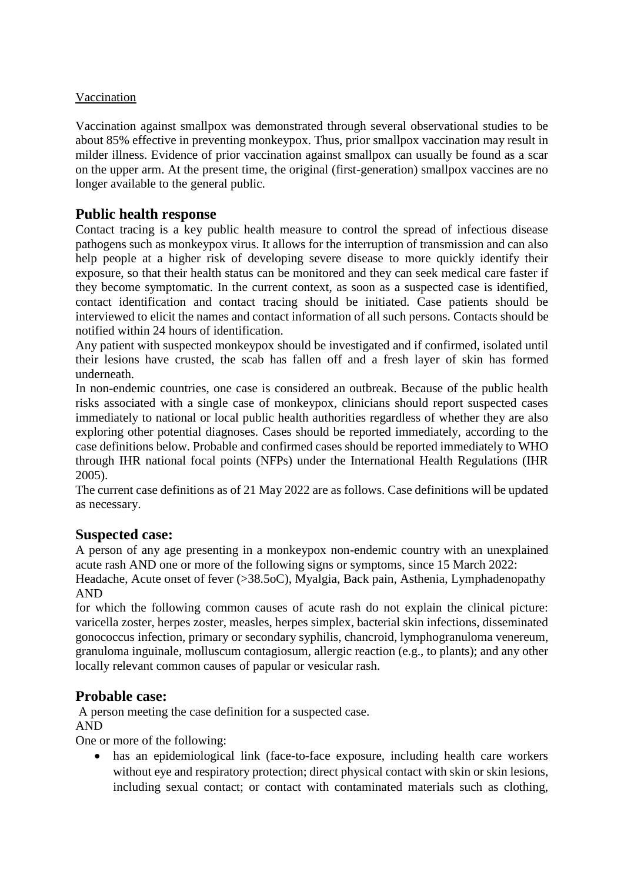#### Vaccination

Vaccination against smallpox was demonstrated through several observational studies to be about 85% effective in preventing monkeypox. Thus, prior smallpox vaccination may result in milder illness. Evidence of prior vaccination against smallpox can usually be found as a scar on the upper arm. At the present time, the original (first-generation) smallpox vaccines are no longer available to the general public.

## **Public health response**

Contact tracing is a key public health measure to control the spread of infectious disease pathogens such as monkeypox virus. It allows for the interruption of transmission and can also help people at a higher risk of developing severe disease to more quickly identify their exposure, so that their health status can be monitored and they can seek medical care faster if they become symptomatic. In the current context, as soon as a suspected case is identified, contact identification and contact tracing should be initiated. Case patients should be interviewed to elicit the names and contact information of all such persons. Contacts should be notified within 24 hours of identification.

Any patient with suspected monkeypox should be investigated and if confirmed, isolated until their lesions have crusted, the scab has fallen off and a fresh layer of skin has formed underneath.

In non-endemic countries, one case is considered an outbreak. Because of the public health risks associated with a single case of monkeypox, clinicians should report suspected cases immediately to national or local public health authorities regardless of whether they are also exploring other potential diagnoses. Cases should be reported immediately, according to the case definitions below. Probable and confirmed cases should be reported immediately to WHO through IHR national focal points (NFPs) under the International Health Regulations (IHR 2005).

The current case definitions as of 21 May 2022 are as follows. Case definitions will be updated as necessary.

## **Suspected case:**

A person of any age presenting in a monkeypox non-endemic country with an unexplained acute rash AND one or more of the following signs or symptoms, since 15 March 2022:

Headache, Acute onset of fever (>38.5oC), Myalgia, Back pain, Asthenia, Lymphadenopathy AND

for which the following common causes of acute rash do not explain the clinical picture: varicella zoster, herpes zoster, measles, herpes simplex, bacterial skin infections, disseminated gonococcus infection, primary or secondary syphilis, chancroid, lymphogranuloma venereum, granuloma inguinale, molluscum contagiosum, allergic reaction (e.g., to plants); and any other locally relevant common causes of papular or vesicular rash.

#### **Probable case:**

A person meeting the case definition for a suspected case. AND

One or more of the following:

 has an epidemiological link (face-to-face exposure, including health care workers without eye and respiratory protection; direct physical contact with skin or skin lesions, including sexual contact; or contact with contaminated materials such as clothing,